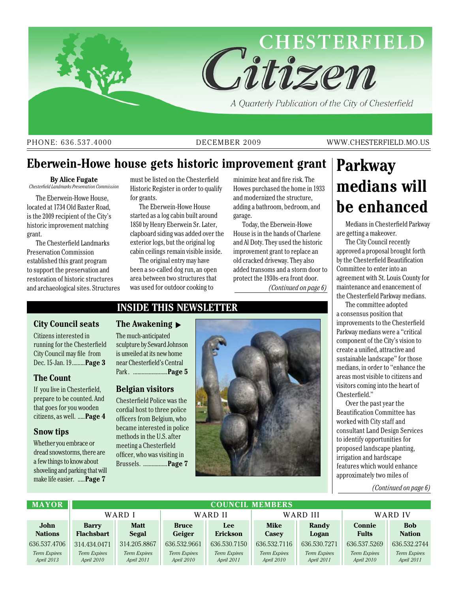

#### PHONE: 636.537.4000 DECEMBER 2009 WWW.CHESTERFIELD.MO.US

## **Eberwein-Howe house gets historic improvement grant**

#### **By Alice Fugate**

*Chesterfield Landmarks Preservation Commission*

The Eberwein-Howe House, located at 1734 Old Baxter Road, is the 2009 recipient of the City's historic improvement matching grant.

The Chesterfield Landmarks Preservation Commission established this grant program to support the preservation and restoration of historic structures and archaeological sites. Structures

must be listed on the Chesterfield Historic Register in order to qualify for grants.

The Eberwein-Howe House started as a log cabin built around 1850 by Henry Eberwein Sr. Later, clapboard siding was added over the exterior logs, but the original log cabin ceilings remain visible inside.

The original entry may have been a so-called dog run, an open area between two structures that was used for outdoor cooking to

minimize heat and fire risk. The Howes purchased the home in 1933 and modernized the structure, adding a bathroom, bedroom, and garage.

Today, the Eberwein-Howe House is in the hands of Charlene and Al Doty. They used the historic improvement grant to replace an old cracked driveway. They also added transoms and a storm door to protect the 1930s-era front door. *(Continued on page 6)*

# **Parkway medians will be enhanced**

Medians in Chesterfield Parkway are getting a makeover.

The City Council recently approved a proposal brought forth by the Chesterfield Beautification Committee to enter into an agreement with St. Louis County for maintenance and enancement of the Chesterfield Parkway medians.

The committee adopted a consensus position that improvements to the Chesterfield Parkway medians were a "critical component of the City's vision to create a unified, attractive and sustainable landscape" for those medians, in order to "enhance the areas most visible to citizens and visitors coming into the heart of Chesterfield."

Over the past year the Beautification Committee has worked with City staff and consultant Land Design Services to identify opportunities for proposed landscape planting, irrigation and hardscape features which would enhance approximately two miles of

#### *(Continued on page 6)*

| <b>MAYOR</b>        | <b>COUNCIL MEMBERS</b> |              |              |                     |                     |              |                     |                     |
|---------------------|------------------------|--------------|--------------|---------------------|---------------------|--------------|---------------------|---------------------|
|                     | WARD I                 |              | WARD II      |                     | WARD III            |              | WARD IV             |                     |
| John                | <b>Barry</b>           | <b>Matt</b>  | <b>Bruce</b> | <b>Lee</b>          | <b>Mike</b>         | Randy        | <b>Connie</b>       | <b>Bob</b>          |
| <b>Nations</b>      | <b>Flachsbart</b>      | Segal        | Geiger       | <b>Erickson</b>     | <b>Casey</b>        | Logan        | <b>Fults</b>        | <b>Nation</b>       |
| 636.537.4706        | 314.434.0471           | 314.205.8867 | 636.532.9661 | 636.530.7150        | 636.532.7116        | 636.530.7271 | 636.537.5269        | 636.532.2744        |
| <b>Term Expires</b> | <b>Term Expires</b>    | Term Expires | Term Expires | <b>Term Expires</b> | <b>Term Expires</b> | Term Expires | <b>Term Expires</b> | <b>Term Expires</b> |
| April 2013          | April 2010             | April 2011   | April 2010   | April 2011          | April 2010          | April 2011   | April 2010          | April 2011          |

## **Inside this newsletter**

### **City Council seats**

Citizens interested in running for the Chesterfield City Council may file from Dec. 15-Jan. 19.........**Page 3**

### **The Count**

If you live in Chesterfield, prepare to be counted. And that goes for you wooden citizens, as well. .....**Page 4**

### **Snow tips**

Whether you embrace or dread snowstorms, there are a few things to know about shoveling and parking that will make life easier. .....**Page 7**

**The Awakening** t

The much-anticipated sculpture by Seward Johnson is unveiled at its new home near Chesterfield's Central Park . ........................**Page 5** 

#### **Belgian visitors**

Chesterfield Police was the cordial host to three police officers from Belgium, who became interested in police methods in the U.S. after meeting a Chesterfield officer, who was visiting in Brussels. .................**Page 7**

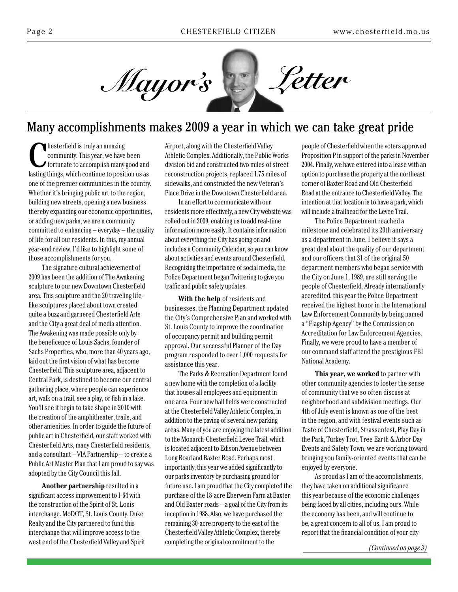

## Many accomplishments makes 2009 a year in which we can take great pride

**C**<br> **C** hesterfield is truly an amazing<br>
community. This year, we have been<br>
fortunate to accomplish many good and<br>
letting things which continue to position we as community. This year, we have been lasting things, which continue to position us as one of the premier communities in the country. Whether it's bringing public art to the region, building new streets, opening a new business thereby expanding our economic opportunities, or adding new parks, we are a community committed to enhancing – everyday – the quality of life for all our residents. In this, my annual year-end review, I'd like to highlight some of those accomplishments for you.

The signature cultural achievement of 2009 has been the addition of The Awakening sculpture to our new Downtown Chesterfield area. This sculpture and the 20 traveling lifelike sculptures placed about town created quite a buzz and garnered Chesterfield Arts and the City a great deal of media attention. The Awakening was made possible only by the beneficence of Louis Sachs, founder of Sachs Properties, who, more than 40 years ago, laid out the first vision of what has become Chesterfield. This sculpture area, adjacent to Central Park, is destined to become our central gathering place, where people can experience art, walk on a trail, see a play, or fish in a lake. You'll see it begin to take shape in 2010 with the creation of the amphitheater, trails, and other amenities. In order to guide the future of public art in Chesterfield, our staff worked with Chesterfield Arts, many Chesterfield residents, and a consultant – VIA Partnership – to create a Public Art Master Plan that I am proud to say was adopted by the City Council this fall.

**Another partnership** resulted in a significant access improvement to I-64 with the construction of the Spirit of St. Louis interchange. MoDOT, St. Louis County, Duke Realty and the City partnered to fund this interchange that will improve access to the west end of the Chesterfield Valley and Spirit Airport, along with the Chesterfield Valley Athletic Complex. Additionally, the Public Works division bid and constructed two miles of street reconstruction projects, replaced 1.75 miles of sidewalks, and constructed the new Veteran's Place Drive in the Downtown Chesterfield area.

In an effort to communicate with our residents more effectively, a new City website was rolled out in 2009, enabling us to add real-time information more easily. It contains information about everything the City has going on and includes a Community Calendar, so you can know about activities and events around Chesterfield. Recognizing the importance of social media, the Police Department began Twittering to give you traffic and public safety updates.

**With the help** of residents and businesses, the Planning Department updated the City's Comprehensive Plan and worked with St. Louis County to improve the coordination of occupancy permit and building permit approval. Our successful Planner of the Day program responded to over 1,000 requests for assistance this year.

The Parks & Recreation Department found a new home with the completion of a facility that houses all employees and equipment in one area. Four new ball fields were constructed at the Chesterfield Valley Athletic Complex, in addition to the paving of several new parking areas. Many of you are enjoying the latest addition to the Monarch-Chesterfield Levee Trail, which is located adjacent to Edison Avenue between Long Road and Baxter Road. Perhaps most importantly, this year we added significantly to our parks inventory by purchasing ground for future use. I am proud that the City completed the purchase of the 18-acre Eberwein Farm at Baxter and Old Baxter roads – a goal of the City from its inception in 1988. Also, we have purchased the remaining 30-acre property to the east of the Chesterfield Valley Athletic Complex, thereby completing the original commitment to the

people of Chesterfield when the voters approved Proposition P in support of the parks in November 2004. Finally, we have entered into a lease with an option to purchase the property at the northeast corner of Baxter Road and Old Chesterfield Road at the entrance to Chesterfield Valley. The intention at that location is to have a park, which will include a trailhead for the Levee Trail.

The Police Department reached a milestone and celebrated its 20th anniversary as a department in June. I believe it says a great deal about the quality of our department and our officers that 31 of the original 50 department members who began service with the City on June 1, 1989, are still serving the people of Chesterfield. Already internationally accredited, this year the Police Department received the highest honor in the International Law Enforcement Community by being named a "Flagship Agency" by the Commission on Accreditation for Law Enforcement Agencies. Finally, we were proud to have a member of our command staff attend the prestigious FBI National Academy.

**This year, we worked** to partner with other community agencies to foster the sense of community that we so often discuss at neighborhood and subdivision meetings. Our 4th of July event is known as one of the best in the region, and with festival events such as Taste of Chesterfield, Strassenfest, Play Day in the Park, Turkey Trot, Tree Earth & Arbor Day Events and Safety Town, we are working toward bringing you family-oriented events that can be enjoyed by everyone.

As proud as I am of the accomplishments, they have taken on additional significance this year because of the economic challenges being faced by all cities, including ours. While the economy has been, and will continue to be, a great concern to all of us, I am proud to report that the financial condition of your city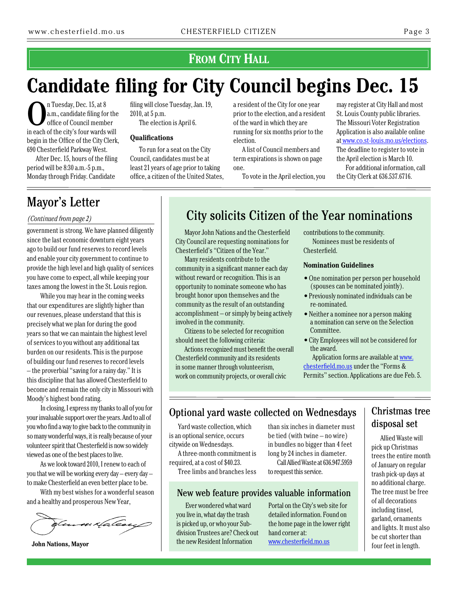## **From City Hall**

# **Candidate filing for City Council begins Dec. 15**

n Tuesday, Dec. 15, at 8 a.m., candidate filing for the office of Council member in each of the city's four wards will begin in the Office of the City Clerk, 690 Chesterfield Parkway West.

After Dec. 15, hours of the filing period will be 8:30 a.m.-5 p.m., Monday through Friday. Candidate

## Mayor's Letter

#### *(Continued from page 2)*

government is strong. We have planned diligently since the last economic downturn eight years ago to build our fund reserves to record levels and enable your city government to continue to provide the high level and high quality of services you have come to expect, all while keeping your taxes among the lowest in the St. Louis region.

While you may hear in the coming weeks that our expenditures are slightly higher than our revenues, please understand that this is precisely what we plan for during the good years so that we can maintain the highest level of services to you without any additional tax burden on our residents. This is the purpose of building our fund reserves to record levels – the proverbial "saving for a rainy day." It is this discipline that has allowed Chesterfield to become and remain the only city in Missouri with Moody's highest bond rating.

In closing, I express my thanks to all of you for your invaluable support over the years. And to all of you who find a way to give back to the community in so many wonderful ways, it is really because of your volunteer spirit that Chesterfield is now so widely viewed as one of the best places to live.

As we look toward 2010, I renew to each of you that we will be working every day – every day – to make Chesterfield an even better place to be.

With my best wishes for a wonderful season and a healthy and prosperous New Year,



**John Nations, Mayor**

filing will close Tuesday, Jan. 19, 2010, at 5 p.m. The election is April 6.

#### **Qualifications**

To run for a seat on the City Council, candidates must be at least 21 years of age prior to taking office, a citizen of the United States, a resident of the City for one year prior to the election, and a resident of the ward in which they are running for six months prior to the election.

A list of Council members and term expirations is shown on page one.

To vote in the April election, you

may register at City Hall and most St. Louis County public libraries. The Missouri Voter Registration Application is also available online at www.co.st-louis.mo.us/elections. The deadline to register to vote in the April election is March 10.

For additional information, call the City Clerk at 636.537.6716.

# City solicits Citizen of the Year nominations

Mayor John Nations and the Chesterfield City Council are requesting nominations for Chesterfield's "Citizen of the Year."

Many residents contribute to the community in a significant manner each day without reward or recognition. This is an opportunity to nominate someone who has brought honor upon themselves and the community as the result of an outstanding accomplishment – or simply by being actively involved in the community.

Citizens to be selected for recognition should meet the following criteria:

Actions recognized must benefit the overall Chesterfield community and its residents in some manner through volunteerism, work on community projects, or overall civic

contributions to the community. Nominees must be residents of Chesterfield.

#### **Nomination Guidelines**

- One nomination per person per household (spouses can be nominated jointly).
- Previously nominated individuals can be re-nominated.
- Neither a nominee nor a person making a nomination can serve on the Selection Committee.
- City Employees will not be considered for the award.

Application forms are available at [www.](http://www.chesterfield.mo.us) [chesterfield.mo.us](http://www.chesterfield.mo.us) under the "Forms & Permits" section. Applications are due Feb. 5.

## Optional yard waste collected on Wednesdays | Christmas tree

Yard waste collection, which is an optional service, occurs citywide on Wednesdays.

A three-month commitment is required, at a cost of \$40.23.

Tree limbs and branches less

than six inches in diameter must be tied (with twine – no wire) in bundles no bigger than 4 feet long by 24 inches in diameter. Call Allied Waste at 636.947.5959 to request this service.

## New web feature provides valuable information

Ever wondered what ward you live in, what day the trash is picked up, or who your Subdivision Trustees are? Check out the new Resident Information

Portal on the City's web site for detailed information. Found on the home page in the lower right hand corner at: www.chesterfield.mo.us

# disposal set

Allied Waste will pick up Christmas trees the entire month of January on regular trash pick-up days at no additional charge. The tree must be free of all decorations including tinsel, garland, ornaments and lights. It must also be cut shorter than four feet in length.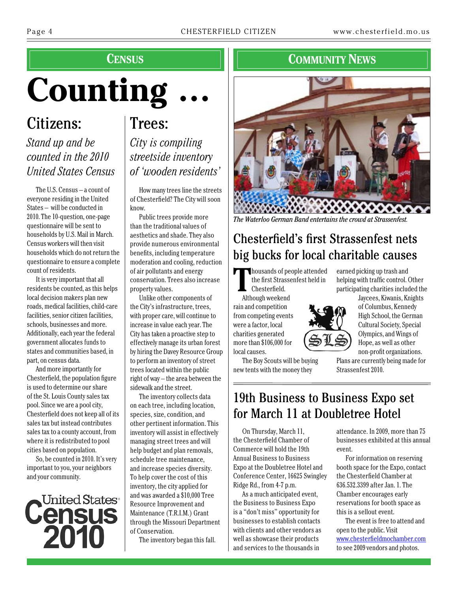# **census**

# **Counting …**

Citizens: *Stand up and be* 

## *counted in the 2010 United States Census*

The U.S. Census – a count of everyone residing in the United States – will be conducted in 2010. The 10-question, one-page questionnaire will be sent to households by U.S. Mail in March. Census workers will then visit households which do not return the questionnaire to ensure a complete count of residents.

It is very important that all residents be counted, as this helps local decision makers plan new roads, medical facilities, child-care facilities, senior citizen facilities, schools, businesses and more. Additionally, each year the federal government allocates funds to states and communities based, in part, on census data.

And more importantly for Chesterfield, the population figure is used to determine our share of the St. Louis County sales tax pool. Since we are a pool city, Chesterfield does not keep all of its sales tax but instead contributes sales tax to a county account, from where it is redistributed to pool cities based on population.

So, be counted in 2010. It's very important to you, your neighbors and your community.



# Trees: *City is compiling streetside inventory of 'wooden residents'*

How many trees line the streets of Chesterfield? The City will soon know.

Public trees provide more than the traditional values of aesthetics and shade. They also provide numerous environmental benefits, including temperature moderation and cooling, reduction of air pollutants and energy conservation. Trees also increase property values.

Unlike other components of the City's infrastructure, trees, with proper care, will continue to increase in value each year. The City has taken a proactive step to effectively manage its urban forest by hiring the Davey Resource Group to perform an inventory of street trees located within the public right of way – the area between the sidewalk and the street.

The inventory collects data on each tree, including location, species, size, condition, and other pertinent information. This inventory will assist in effectively managing street trees and will help budget and plan removals, schedule tree maintenance, and increase species diversity. To help cover the cost of this inventory, the city applied for and was awarded a \$10,000 Tree Resource Improvement and Maintenance (T.R.I.M.) Grant through the Missouri Department of Conservation.

The inventory began this fall.

## **COMMUNITY** NEWS



*The Waterloo German Band entertains the crowd at Strassenfest.*

# Chesterfield's first Strassenfest nets big bucks for local charitable causes

**T**housands of people attended the first Strassenfest held in Chesterfield.

Although weekend rain and competition from competing events were a factor, local charities generated more than \$106,000 for local causes.

earned picking up trash and helping with traffic control. Other participating charities included the



Jaycees, Kiwanis, Knights of Columbus, Kennedy High School, the German Cultural Society, Special Olympics, and Wings of Hope, as well as other non-profit organizations.

Plans are currently being made for Strassenfest 2010.

The Boy Scouts will be buying new tents with the money they

# 19th Business to Business Expo set for March 11 at Doubletree Hotel

On Thursday, March 11, the Chesterfield Chamber of Commerce will hold the 19th Annual Business to Business Expo at the Doubletree Hotel and Conference Center, 16625 Swingley Ridge Rd., from 4-7 p.m.

As a much anticipated event, the Business to Business Expo is a "don't miss" opportunity for businesses to establish contacts with clients and other vendors as well as showcase their products and services to the thousands in

attendance. In 2009, more than 75 businesses exhibited at this annual event.

For information on reserving booth space for the Expo, contact the Chesterfield Chamber at 636.532.3399 after Jan. 1. The Chamber encourages early reservations for booth space as this is a sellout event.

The event is free to attend and open to the public. Visit www.chesterfieldmochamber.com to see 2009 vendors and photos.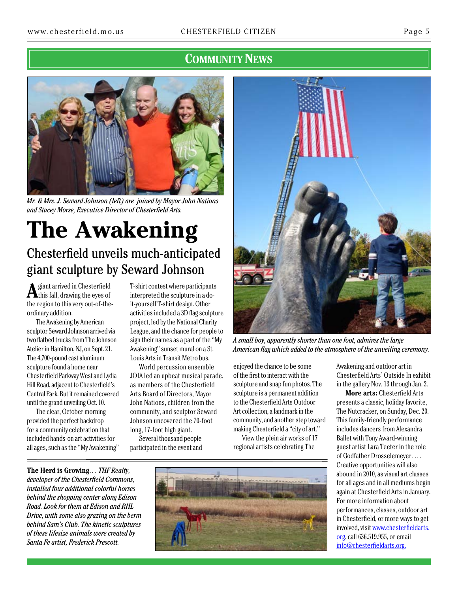## **COMMUNITY NEWS**



*Mr. & Mrs. J. Seward Johnson (left) are joined by Mayor John Nations and Stacey Morse, Executive Director of Chesterfield Arts.*

# **The Awakening** Chesterfield unveils much-anticipated giant sculpture by Seward Johnson

**A**giant arrived in Chesterfield this fall, drawing the eyes of the region to this very out-of-theordinary addition.

The Awakening by American sculptor Seward Johnson arrived via two flatbed trucks from The Johnson Atelier in Hamilton, NJ, on Sept. 21. The 4,700-pound cast aluminum sculpture found a home near Chesterfield Parkway West and Lydia Hill Road, adjacent to Chesterfield's Central Park. But it remained covered until the grand unveiling Oct. 10.

The clear, October morning provided the perfect backdrop for a community celebration that included hands-on art activities for all ages, such as the "My Awakening" T-shirt contest where participants interpreted the sculpture in a doit-yourself T-shirt design. Other activities included a 3D flag sculpture project, led by the National Charity League, and the chance for people to sign their names as a part of the "My Awakening" sunset mural on a St. Louis Arts in Transit Metro bus.

World percussion ensemble JOIA led an upbeat musical parade, as members of the Chesterfield Arts Board of Directors, Mayor John Nations, children from the community, and sculptor Seward Johnson uncovered the 70-foot long, 17-foot high giant.

Several thousand people participated in the event and



*A small boy, apparently shorter than one foot, admires the large American flag which added to the atmosphere of the unveiling ceremony.*

enjoyed the chance to be some of the first to interact with the sculpture and snap fun photos. The sculpture is a permanent addition to the Chesterfield Arts Outdoor Art collection, a landmark in the community, and another step toward making Chesterfield a "city of art." View the plein air works of 17

regional artists celebrating The

Awakening and outdoor art in Chesterfield Arts' Outside In exhibit in the gallery Nov. 13 through Jan. 2.

**More arts:** Chesterfield Arts presents a classic, holiday favorite, The Nutcracker, on Sunday, Dec. 20. This family-friendly performance includes dancers from Alexandra Ballet with Tony Award-winning guest artist Lara Teeter in the role of Godfather Drosselemeyer. … Creative opportunities will also abound in 2010, as visual art classes for all ages and in all mediums begin again at Chesterfield Arts in January. For more information about performances, classes, outdoor art in Chesterfield, or more ways to get involved, visit [www.chesterfieldarts.](http://www.chesterfieldarts.org) [org,](http://www.chesterfieldarts.org) call 636.519.955, or email [info@chesterfieldarts.org](mailto:info@chesterfieldarts.org).

**The Herd is Growing***… THF Realty, developer of the Chesterfield Commons, installed four additional colorful horses behind the shopping center along Edison Road. Look for them at Edison and RHL Drive, with some also grazing on the berm behind Sam's Club. The kinetic sculptures of these lifesize animals were created by Santa Fe artist, Frederick Prescott.*

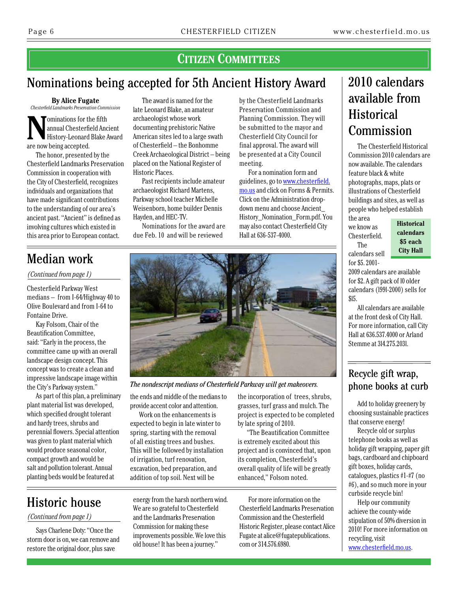## **Citizen Committees**

## Nominations being accepted for 5th Ancient History Award

**By Alice Fugate** *Chesterfield Landmarks Preservation Commission*

**Nominations for the fifth<br>
History-Leonard Blake Award<br>
Since pour being accepted** annual Chesterfield Ancient are now being accepted.

The honor, presented by the Chesterfield Landmarks Preservation Commission in cooperation with the City of Chesterfield, recognizes individuals and organizations that have made significant contributions to the understanding of our area's ancient past. "Ancient" is defined as involving cultures which existed in this area prior to European contact.

The award is named for the late Leonard Blake, an amateur archaeologist whose work documenting prehistoric Native American sites led to a large swath of Chesterfield – the Bonhomme Creek Archaeological District – being placed on the National Register of Historic Places.

Past recipients include amateur archaeologist Richard Martens, Parkway school teacher Michelle Weisenborn, home builder Dennis Hayden, and HEC-TV.

Nominations for the award are due Feb. 10 and will be reviewed

by the Chesterfield Landmarks Preservation Commission and Planning Commission. They will be submitted to the mayor and Chesterfield City Council for final approval. The award will be presented at a City Council meeting.

For a nomination form and guidelines, go to [www.chesterfield.](http://www.chesterfield.mo.us) [mo.us](http://www.chesterfield.mo.us) and click on Forms & Permits. Click on the Administration dropdown menu and choose Ancient\_ History\_Nomination\_Form.pdf. You may also contact Chesterfield City Hall at 636-537-4000.

# 2010 calendars available from **Historical** Commission

The Chesterfield Historical Commission 2010 calendars are now available. The calendars feature black & white photographs, maps, plats or illustrations of Chesterfield buildings and sites, as well as people who helped establish

the area we know as Chesterfield. The calendars sell for \$5. 2001-

\$l5.

2009 calendars are available for \$2. A gift pack of l0 older calendars (l99l-2000) sells for

**Historical calendars \$5 each City Hall**

Median work

*(Continued from page 1)*

Chesterfield Parkway West medians – from I-64/Highway 40 to Olive Boulevard and from I-64 to Fontaine Drive.

Kay Folsom, Chair of the Beautification Committee, said: "Early in the process, the committee came up with an overall landscape design concept. This concept was to create a clean and impressive landscape image within the City's Parkway system."

As part of this plan, a preliminary plant material list was developed, which specified drought tolerant and hardy trees, shrubs and perennial flowers. Special attention was given to plant material which would produce seasonal color, compact growth and would be salt and pollution tolerant. Annual planting beds would be featured at

storm door is on, we can remove and restore the original door, plus save



*The nondescript medians of Chesterfield Parkway will get makeovers.*

the ends and middle of the medians to provide accent color and attention.

Work on the enhancements is expected to begin in late winter to spring, starting with the removal of all existing trees and bushes. This will be followed by installation of irrigation, turf renovation, excavation, bed preparation, and addition of top soil. Next will be

the incorporation of trees, shrubs, grasses, turf grass and mulch. The project is expected to be completed by late spring of 2010.

"The Beautification Committee is extremely excited about this project and is convinced that, upon its completion, Chesterfield's overall quality of life will be greatly enhanced," Folsom noted.

For more information on the Chesterfield Landmarks Preservation Commission and the Chesterfield Historic Register, please contact Alice Fugate at [alice@fugatepublications.](mailto:alice@fugatepublications.com) [com](mailto:alice@fugatepublications.com) or 314.576.6980.

Stemme at 3l4.275.203l.

All calendars are available at the front desk of City Hall. For more information, call City Hall at 636.537.4000 or Arland

## Recycle gift wrap, phone books at curb

Add to holiday greenery by choosing sustainable practices that conserve energy!

Recycle old or surplus telephone books as well as holiday gift wrapping, paper gift bags, cardboard and chipboard gift boxes, holiday cards, catalogues, plastics #1-#7 (no #6), and so much more in your curbside recycle bin!

Help our community achieve the county-wide stipulation of 50% diversion in 2010! For more information on recycling, visit [www.chesterfield.mo.us.](http://www.chesterfield.mo.us)

Says Charlene Doty: "Once the energy from the harsh northern wind. *(Continued from page 1)* Historic house

We are so grateful to Chesterfield and the Landmarks Preservation Commission for making these improvements possible. We love this old house! It has been a journey."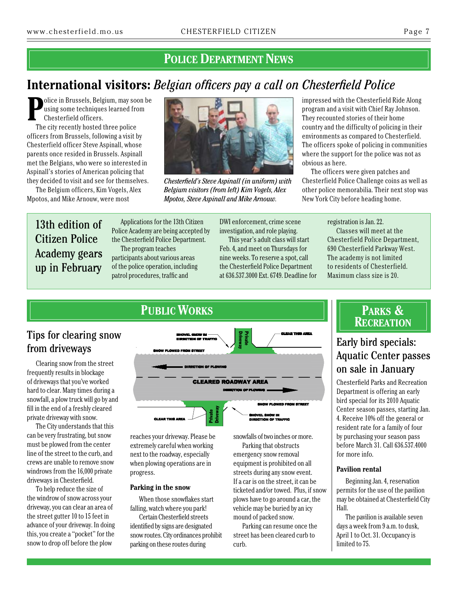## **POLICE DEPARTMENT NEWS**

## **International visitors:** *Belgian officers pay a call on Chesterfield Police*

**P** olice in Brussels, Belgium, may soon be using some techniques learned from Chesterfield officers.

The city recently hosted three police officers from Brussels, following a visit by Chesterfield officer Steve Aspinall, whose parents once resided in Brussels. Aspinall met the Belgians, who were so interested in Aspinall's stories of American policing that they decided to visit and see for themselves.

The Belgium officers, Kim Vogels, Alex Mpotos, and Mike Arnouw, were most



*Chesterfield's Steve Aspinall (in uniform) with Belgium visitors (from left) Kim Vogels, Alex Mpotos, Steve Aspinall and Mike Arnouw.*

impressed with the Chesterfield Ride Along program and a visit with Chief Ray Johnson. They recounted stories of their home country and the difficulty of policing in their environments as compared to Chesterfield. The officers spoke of policing in communities where the support for the police was not as obvious as here.

The officers were given patches and Chesterfield Police Challenge coins as well as other police memorabilia. Their next stop was New York City before heading home.

## 13th edition of Citizen Police Academy gears up in February

Applications for the 13th Citizen Police Academy are being accepted by the Chesterfield Police Department. The program teaches

participants about various areas of the police operation, including patrol procedures, traffic and

DWI enforcement, crime scene investigation, and role playing.

This year's adult class will start Feb. 4, and meet on Thursdays for nine weeks. To reserve a spot, call the Chesterfield Police Department at 636.537.3000 Ext. 6749. Deadline for registration is Jan. 22.

Classes will meet at the Chesterfield Police Department, 690 Chesterfield Parkway West. The academy is not limited to residents of Chesterfield. Maximum class size is 20.

# Tips for clearing snow

Clearing snow from the street frequently results in blockage of driveways that you've worked hard to clear. Many times during a snowfall, a plow truck will go by and fill in the end of a freshly cleared private driveway with snow.

The City understands that this can be very frustrating, but snow must be plowed from the center line of the street to the curb, and crews are unable to remove snow windrows from the 16,000 private driveways in Chesterfield.

To help reduce the size of the windrow of snow across your driveway, you can clear an area of the street gutter 10 to 15 feet in advance of your driveway. In doing this, you create a "pocket" for the snow to drop off before the plow



reaches your driveway. Please be extremely careful when working next to the roadway, especially when plowing operations are in progress.

#### **Parking in the snow**

When those snowflakes start falling, watch where you park!

Certain Chesterfield streets identified by signs are designated snow routes. City ordinances prohibit parking on these routes during

snowfalls of two inches or more.

Parking that obstructs emergency snow removal equipment is prohibited on all streets during any snow event. If a car is on the street, it can be ticketed and/or towed. Plus, if snow plows have to go around a car, the vehicle may be buried by an icy mound of packed snow.

Parking can resume once the street has been cleared curb to curb.

## **Parks & Recreation**

# Aquatic Center passes on sale in January

Chesterfield Parks and Recreation Department is offering an early bird special for its 2010 Aquatic Center season passes, starting Jan. 4. Receive 10% off the general or resident rate for a family of four by purchasing your season pass before March 31. Call 636.537.4000 for more info.

#### **Pavilion rental**

Beginning Jan. 4, reservation permits for the use of the pavilion may be obtained at Chesterfield City Hall.

The pavilion is available seven days a week from 9 a.m. to dusk, April 1 to Oct. 31. Occupancy is limited to 75.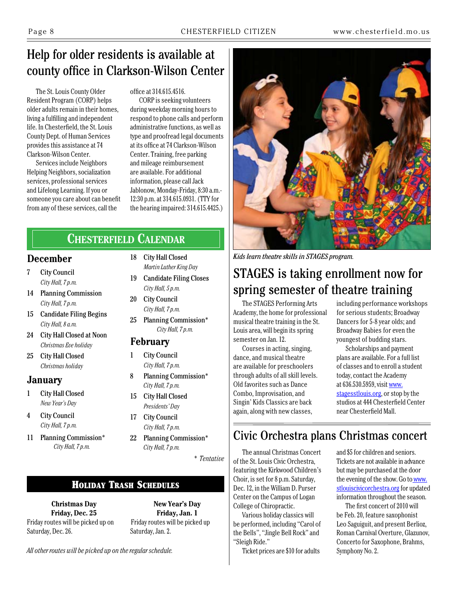# Help for older residents is available at county office in Clarkson-Wilson Center

The St. Louis County Older Resident Program (CORP) helps older adults remain in their homes, living a fulfilling and independent life. In Chesterfield, the St. Louis County Dept. of Human Services provides this assistance at 74 Clarkson-Wilson Center.

Services include Neighbors Helping Neighbors, socialization services, professional services and Lifelong Learning. If you or someone you care about can benefit from any of these services, call the

office at 314.615.4516.

CORP is seeking volunteers during weekday morning hours to respond to phone calls and perform administrative functions, as well as type and proofread legal documents at its office at 74 Clarkson-Wilson Center. Training, free parking and mileage reimbursement are available. For additional information, please call Jack Jablonow, Monday-Friday, 8:30 a.m.- 12:30 p.m. at 314.615.0931. (TTY for the hearing impaired: 314.615.4425.)

## **Chesterfield Calendar**

## **December**

- 7 City Council *City Hall, 7 p.m.*
- 14 Planning Commission *City Hall, 7 p.m.*
- 15 Candidate Filing Begins *City Hall, 8 a.m.*
- 24 City Hall Closed at Noon *Christmas Eve holiday*
- 25 City Hall Closed *Christmas holiday*

## **January**

- 1 City Hall Closed *New Year's Day*
- 4 City Council *City Hall, 7 p.m.*

Saturday, Dec. 26.

11 Planning Commission\* *City Hall, 7 p.m.*

- 18 City Hall Closed
- *Martin Luther King Day* 19 Candidate Filing Closes
- *City Hall, 5 p.m.*
- 20 City Council *City Hall, 7 p.m.*
- 25 Planning Commission\* *City Hall, 7 p.m.*

## **February**

- 1 City Council *City Hall, 7 p.m.*
- 8 Planning Commission\* *City Hall, 7 p.m.*
- 15 City Hall Closed *Presidents' Day*
- 17 City Council *City Hall, 7 p.m.*
- 22 Planning Commission\* *City Hall, 7 p.m.*

*\* Tentative*

## Holiday Trash Schedules

**Christmas Day Friday, Dec. 25** Friday routes will be picked up on

**New Year's Day Friday, Jan. 1** Friday routes will be picked up Saturday, Jan. 2.

*All other routes will be picked up on the regular schedule.*



*Kids learn theatre skills in STAGES program.*

# STAGES is taking enrollment now for spring semester of theatre training

The STAGES Performing Arts Academy, the home for professional musical theatre training in the St. Louis area, will begin its spring semester on Jan. 12.

Courses in acting, singing, dance, and musical theatre are available for preschoolers through adults of all skill levels. Old favorites such as Dance Combo, Improvisation, and Singin' Kids Classics are back again, along with new classes,

including performance workshops for serious students; Broadway Dancers for 5-8 year olds; and Broadway Babies for even the youngest of budding stars.

Scholarships and payment plans are available. For a full list of classes and to enroll a student today, contact the Academy at 636.530.5959, visit [www.](http://www.stagesstlouis.org) [stagesstlouis.org,](http://www.stagesstlouis.org) or stop by the studios at 444 Chesterfield Center near Chesterfield Mall.

## Civic Orchestra plans Christmas concert

The annual Christmas Concert of the St. Louis Civic Orchestra, featuring the Kirkwood Children's Choir, is set for 8 p.m. Saturday, Dec. 12, in the William D. Purser Center on the Campus of Logan College of Chiropractic.

Various holiday classics will be performed, including "Carol of the Bells", "Jingle Bell Rock" and "Sleigh Ride."

Ticket prices are \$10 for adults

and \$5 for children and seniors. Tickets are not available in advance but may be purchased at the door the evening of the show. Go to [www.](http://www.stlouiscivicorchestra.org) [stlouiscivicorchestra.org](http://www.stlouiscivicorchestra.org) for updated information throughout the season.

The first concert of 2010 will be Feb. 20, feature saxophonist Leo Saguiguit, and present Berlioz, Roman Carnival Overture, Glazunov, Concerto for Saxophone, Brahms, Symphony No. 2.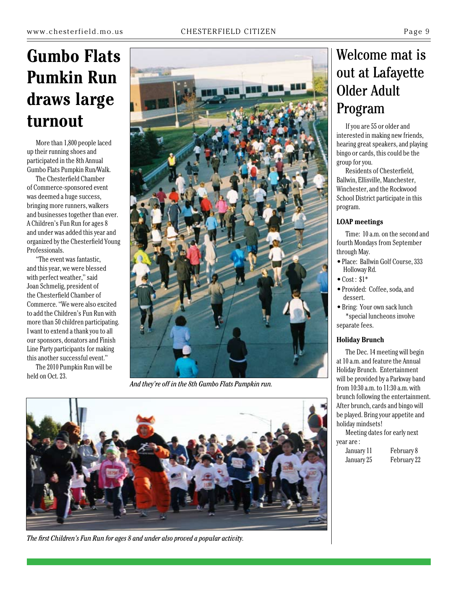# **Gumbo Flats Pumkin Run draws large**

More than 1,800 people laced up their running shoes and participated in the 8th Annual Gumbo Flats Pumpkin Run/Walk.

The Chesterfield Chamber of Commerce-sponsored event was deemed a huge success, bringing more runners, walkers and businesses together than ever. A Children's Fun Run for ages 8 and under was added this year and organized by the Chesterfield Young Professionals.

"The event was fantastic, and this year, we were blessed with perfect weather," said Joan Schmelig, president of the Chesterfield Chamber of Commerce. "We were also excited to add the Children's Fun Run with more than 50 children participating. I want to extend a thank you to all our sponsors, donators and Finish Line Party participants for making this another successful event."

The 2010 Pumpkin Run will be held on Oct. 23.



*And they're off in the 8th Gumbo Flats Pumpkin run.*



*The first Children's Fun Run for ages 8 and under also proved a popular activity.*

# Welcome mat is out at Lafayette Older Adult Program

interested in making new friends, hearing great speakers, and playing bingo or cards, this could be the group for you.

Residents of Chesterfield, Ballwin, Ellisville, Manchester, Winchester, and the Rockwood School District participate in this program.

#### **LOAP meetings**

Time: 10 a.m. on the second and fourth Mondays from September through May.

- Place: Ballwin Golf Course, 333 Holloway Rd.
- $\bullet$  Cost:  $$1^*$
- Provided: Coffee, soda, and dessert.

• Bring: Your own sack lunch \*special luncheons involve separate fees.

#### **Holiday Brunch**

The Dec. 14 meeting will begin at 10 a.m. and feature the Annual Holiday Brunch. Entertainment will be provided by a Parkway band from 10:30 a.m. to 11:30 a.m. with brunch following the entertainment. After brunch, cards and bingo will be played. Bring your appetite and holiday mindsets!

Meeting dates for early next year are :

| January 11 | February 8  |
|------------|-------------|
| January 25 | February 22 |